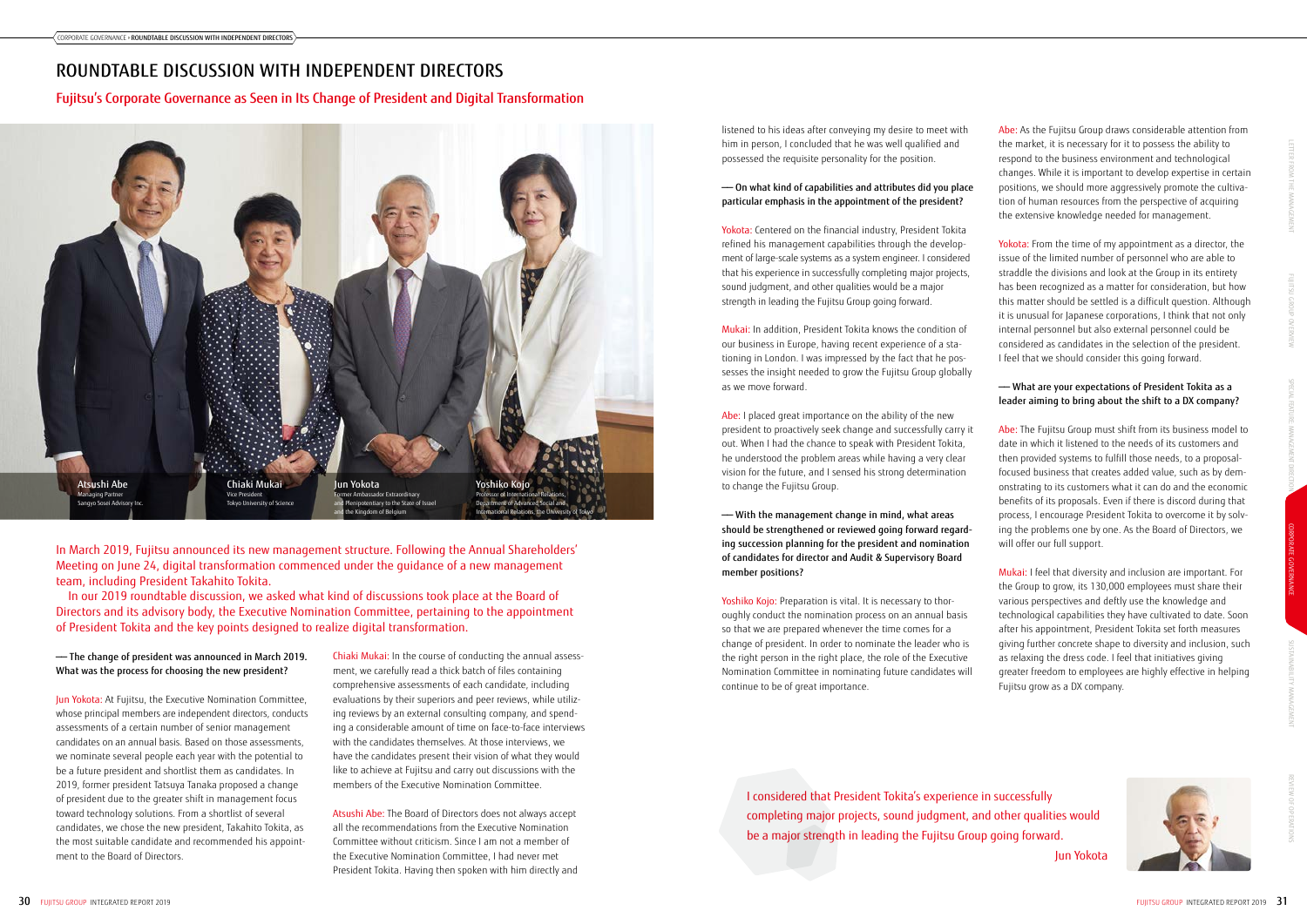In March 2019, Fujitsu announced its new management structure. Following the Annual Shareholders' Meeting on June 24, digital transformation commenced under the guidance of a new management team, including President Takahito Tokita.

In our 2019 roundtable discussion, we asked what kind of discussions took place at the Board of Directors and its advisory body, the Executive Nomination Committee, pertaining to the appointment of President Tokita and the key points designed to realize digital transformation.

Abe: As the Fujitsu Group draws considerable attention from the market, it is necessary for it to possess the ability to respond to the business environment and technological changes. While it is important to develop expertise in certain positions, we should more aggressively promote the cultivation of human resources from the perspective of acquiring the extensive knowledge needed for management.

Yokota: From the time of my appointment as a director, the issue of the limited number of personnel who are able to straddle the divisions and look at the Group in its entirety has been recognized as a matter for consideration, but how this matter should be settled is a difficult question. Although it is unusual for Japanese corporations, I think that not only internal personnel but also external personnel could be considered as candidates in the selection of the president. I feel that we should consider this going forward.

#### —— What are your expectations of President Tokita as a leader aiming to bring about the shift to a DX company?

Abe: The Fujitsu Group must shift from its business model to date in which it listened to the needs of its customers and then provided systems to fulfill those needs, to a proposalfocused business that creates added value, such as by demonstrating to its customers what it can do and the economic benefits of its proposals. Even if there is discord during that process, I encourage President Tokita to overcome it by solving the problems one by one. As the Board of Directors, we will offer our full support.

Yokota: Centered on the financial industry, President Tokita refined his management capabilities through the development of large-scale systems as a system engineer. I considered that his experience in successfully completing major projects, sound judgment, and other qualities would be a major strength in leading the Fujitsu Group going forward.

> Mukai: I feel that diversity and inclusion are important. For the Group to grow, its 130,000 employees must share their various perspectives and deftly use the knowledge and technological capabilities they have cultivated to date. Soon after his appointment, President Tokita set forth measures giving further concrete shape to diversity and inclusion, such as relaxing the dress code. I feel that initiatives giving greater freedom to employees are highly effective in helping Fujitsu grow as a DX company.



Chiaki Mukai: In the course of conducting the annual assessment, we carefully read a thick batch of files containing comprehensive assessments of each candidate, including evaluations by their superiors and peer reviews, while utilizing reviews by an external consulting company, and spending a considerable amount of time on face-to-face interviews with the candidates themselves. At those interviews, we have the candidates present their vision of what they would like to achieve at Fujitsu and carry out discussions with the members of the Executive Nomination Committee.

Atsushi Abe: The Board of Directors does not always accept all the recommendations from the Executive Nomination Committee without criticism. Since I am not a member of the Executive Nomination Committee, I had never met President Tokita. Having then spoken with him directly and

listened to his ideas after conveying my desire to meet with him in person, I concluded that he was well qualified and possessed the requisite personality for the position.

#### —— On what kind of capabilities and attributes did you place particular emphasis in the appointment of the president?

Mukai: In addition, President Tokita knows the condition of our business in Europe, having recent experience of a stationing in London. I was impressed by the fact that he possesses the insight needed to grow the Fujitsu Group globally as we move forward.

Abe: I placed great importance on the ability of the new president to proactively seek change and successfully carry it out. When I had the chance to speak with President Tokita, he understood the problem areas while having a very clear vision for the future, and I sensed his strong determination to change the Fujitsu Group.

—— With the management change in mind, what areas should be strengthened or reviewed going forward regarding succession planning for the president and nomination of candidates for director and Audit & Supervisory Board member positions?

Yoshiko Kojo: Preparation is vital. It is necessary to thoroughly conduct the nomination process on an annual basis so that we are prepared whenever the time comes for a change of president. In order to nominate the leader who is the right person in the right place, the role of the Executive Nomination Committee in nominating future candidates will continue to be of great importance.

#### —— The change of president was announced in March 2019. What was the process for choosing the new president?

Jun Yokota: At Fujitsu, the Executive Nomination Committee, whose principal members are independent directors, conducts assessments of a certain number of senior management candidates on an annual basis. Based on those assessments, we nominate several people each year with the potential to be a future president and shortlist them as candidates. In 2019, former president Tatsuya Tanaka proposed a change of president due to the greater shift in management focus toward technology solutions. From a shortlist of several candidates, we chose the new president, Takahito Tokita, as the most suitable candidate and recommended his appointment to the Board of Directors.



# ROUNDTABLE DISCUSSION WITH INDEPENDENT DIRECTORS

## Fujitsu's Corporate Governance as Seen in Its Change of President and Digital Transformation

I considered that President Tokita's experience in successfully completing major projects, sound judgment, and other qualities would be a major strength in leading the Fujitsu Group going forward. Jun Yokota